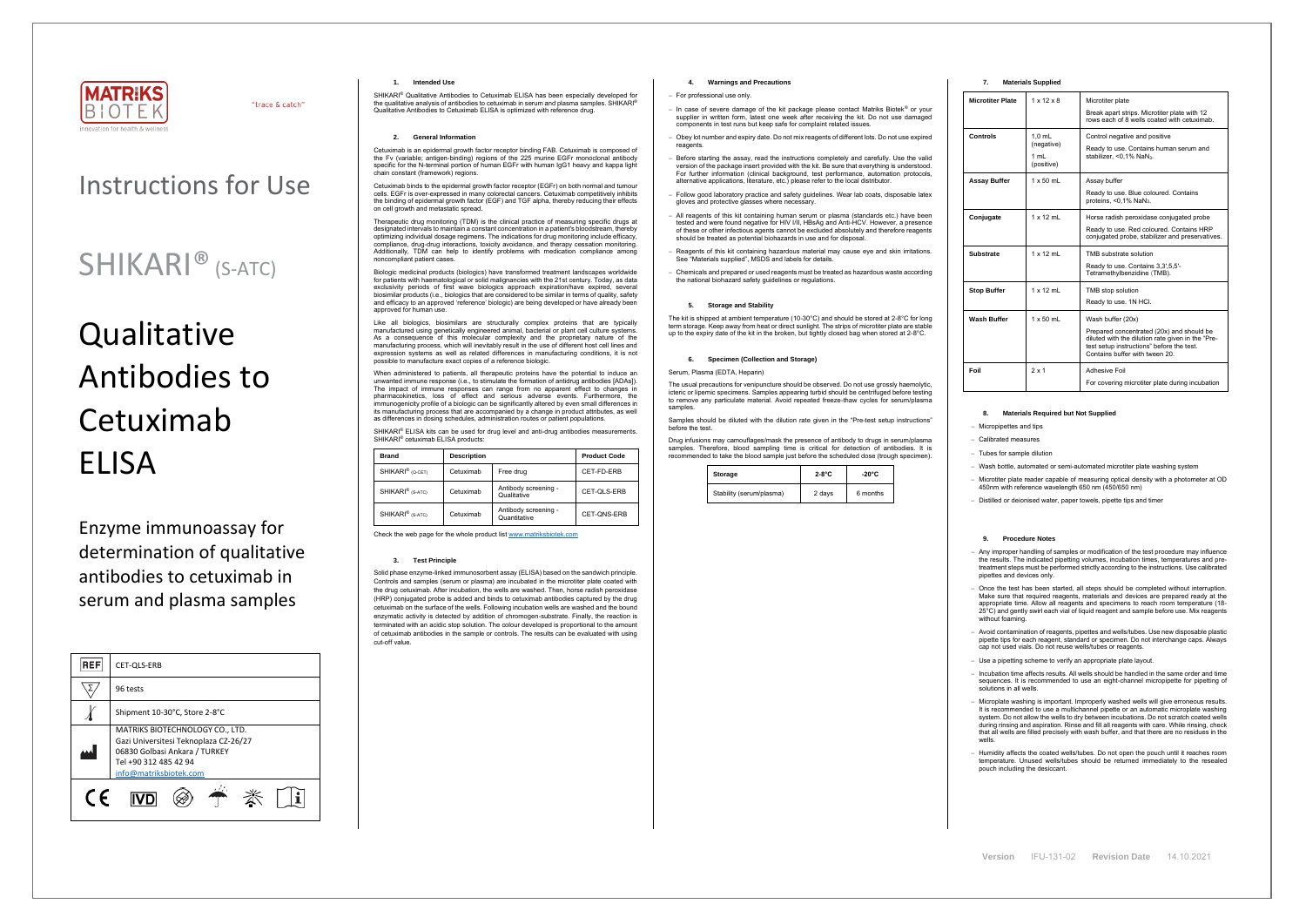

"trace & catch"

## Instructions for Use

# **Qualitative** Antibodies to Cetuximab ELISA

## SHIKARI® (S-ATC)

Enzyme immunoassay for determination of qualitative antibodies to cetuximab in serum and plasma samples



SHIKARI<sup>®</sup> Qualitative Antibodies to Cetuximab ELISA has been especially developed for the qualitative analysis of antibodies to cetuximab in serum and plasma samples. SHIKARI® Qualitative Antibodies to Cetuximab ELISA is optimized with reference drug.

## **1. Intended Use**

## **2. General Information**

Cetuximab is an epidermal growth factor receptor binding FAB. Cetuximab is composed of the Fv (variable; antigen-binding) regions of the 225 murine EGFr monoclonal antibody specific for the N-terminal portion of human EGFr with human IgG1 heavy and kappa light chain constant (framework) regions.

Biologic medicinal products (biologics) have transformed treatment landscapes worldwide for patients with haematological or solid malignancies with the 21st century. Today, as data exclusivity periods of first wave biologics approach expiration/have expired, several biosimilar products (i.e., biologics that are considered to be similar in terms of quality, safety and efficacy to an approved 'reference' biologic) are being developed or have already been roved for human use

Cetuximab binds to the epidermal growth factor receptor (EGFr) on both normal and tumour cells. EGFr is over-expressed in many colorectal cancers. Cetuximab competitively inhibits the binding of epidermal growth factor (EGF) and TGF alpha, thereby reducing their effects on cell growth and metastatic spread.

Therapeutic drug monitoring (TDM) is the clinical practice of measuring specific drugs at designated intervals to maintain a constant concentration in a patient's bloodstream, thereby optimizing individual dosage regimens. The indications for drug monitoring include efficacy, compliance, drug-drug interactions, toxicity avoidance, and therapy cessation monitoring. Additionally, TDM can help to identify problems with medication compliance among noncompliant patient cases.

When administered to patients, all therapeutic proteins have the potential to induce an unwanted immune response (i.e., to stimulate the formation of antidrug antibodies [ADAs]). The impact of immune responses can range from no apparent effect to changes in pharmacokinetics, loss of effect and serious adverse events. Furthermore, the immunogenicity profile of a biologic can be significantly altered by even small differences in its manufacturing process that are accompanied by a change in product attributes, as well as differences in dosing schedules, administration routes or patient populations.

SHIKARI<sup>®</sup> ELISA kits can be used for drug level and anti-drug antibodies measurements. SHIKARI® cetuximab ELISA products:

Like all biologics, biosimilars are structurally complex proteins that are typically manufactured using genetically engineered animal, bacterial or plant cell culture systems. As a consequence of this molecular complexity and the proprietary nature of the manufacturing process, which will inevitably result in the use of different host cell lines and expression systems as well as related differences in manufacturing conditions, it is not possible to manufacture exact copies of a reference biologic.

> The usual precautions for venipuncture should be observed. Do not use grossly haemolytic, icteric or lipemic specimens. Samples appearing turbid should be centrifuged before testing to remove any particulate material. Avoid repeated freeze-thaw cycles for serum/plasma samples

| <b>Brand</b>                 | <b>Description</b> |                                      | <b>Product Code</b> |
|------------------------------|--------------------|--------------------------------------|---------------------|
| SHIKARI <sup>®</sup> (Q-CET) | Cetuximab          | Free drug                            | CET-FD-ERB          |
| SHIKARI <sup>®</sup> (S-ATC) | Cetuximab          | Antibody screening -<br>Qualitative  | CET-QLS-ERB         |
| SHIKARI <sup>®</sup> (S-ATC) | Cetuximab          | Antibody screening -<br>Quantitative | CET-ONS-ERB         |

Check the web page for the whole product lis[t www.matriksbiotek.com](http://www.matriksbiotek.com/)

#### **3. Test Principle**

Solid phase enzyme-linked immunosorbent assay (ELISA) based on the sandwich principle. Controls and samples (serum or plasma) are incubated in the microtiter plate coated with the drug cetuximab. After incubation, the wells are washed. Then, horse radish peroxidase (HRP) conjugated probe is added and binds to cetuximab antibodies captured by the drug cetuximab on the surface of the wells. Following incubation wells are washed and the bound enzymatic activity is detected by addition of chromogen-substrate. Finally, the reaction is terminated with an acidic stop solution. The colour developed is proportional to the amount of cetuximab antibodies in the sample or controls. The results can be evaluated with using cut-off value.

## **4. Warnings and Precautions**

Once the test has been started, all steps should be completed without interruption. Make sure that required reagents, materials and devices are prepared ready at the appropriate time. Allow all reagents and specimens to reach room temperature (18- 25°C) and gently swirl each vial of liquid reagent and sample before use. Mix reagents without foaming.

#### − For professional use only.

- − In case of severe damage of the kit package please contact Matriks Biotek® or your supplier in written form, latest one week after receiving the kit. Do not use damaged components in test runs but keep safe for complaint related issues.
- − Obey lot number and expiry date. Do not mix reagents of different lots. Do not use expired reagents
- Before starting the assay, read the instructions completely and carefully. Use the valid version of the package insert provided with the kit. Be sure that everything is understood. For further information (clinical background, test performance, automation protocols, alternative applications, literature, etc.) please refer to the local distributor.
- − Follow good laboratory practice and safety guidelines. Wear lab coats, disposable latex gloves and protective glasses where necessary.
- − All reagents of this kit containing human serum or plasma (standards etc.) have been tested and were found negative for HIV I/II, HBsAg and Anti-HCV. However, a presence of these or other infectious agents cannot be excluded absolutely and therefore reagents should be treated as potential biohazards in use and for disposal.
- − Reagents of this kit containing hazardous material may cause eye and skin irritations. See "Materials supplied", MSDS and labels for details.
- − Chemicals and prepared or used reagents must be treated as hazardous waste according the national biohazard safety guidelines or regulations.

## **5. Storage and Stability**

The kit is shipped at ambient temperature (10-30°C) and should be stored at 2-8°C for long term storage. Keep away from heat or direct sunlight. The strips of microtiter plate are stable up to the expiry date of the kit in the broken, but tightly closed bag when stored at 2-8°C.

#### **6. Specimen (Collection and Storage)**

#### Serum, Plasma (EDTA, Heparin)

Samples should be diluted with the dilution rate given in the "Pre-test setup instructions" before the test.

Drug infusions may camouflages/mask the presence of antibody to drugs in serum/plasma samples. Therefore, blood sampling time is critical for detection of antibodies. It is recommended to take the blood sample just before the scheduled dose (trough specimen).

| Storage                  | $2-8$ °C | -20°C    |
|--------------------------|----------|----------|
| Stability (serum/plasma) | 2 days   | 6 months |

## **7. Materials Supplied**

| $1 \times 12 \times 8$<br>Microtiter plate<br>Break apart strips. Microtiter plate with 12<br>rows each of 8 wells coated with cetuximab.<br>$1.0$ mL<br>Control negative and positive<br>(negative)<br>Ready to use. Contains human serum and<br>1 mL<br>stabilizer, < $0.1\%$ NaN <sub>3</sub> .<br>(positive)<br>$1 \times 50$ mL<br>Assay buffer<br>Ready to use. Blue coloured. Contains<br>proteins, <0,1% NaN <sub>3</sub> .<br>$1 \times 12$ mL<br>Horse radish peroxidase conjugated probe<br>Ready to use. Red coloured. Contains HRP<br>conjugated probe, stabilizer and preservatives.<br>$1 \times 12$ ml<br>TMB substrate solution<br>Ready to use. Contains 3,3',5,5'-<br>Tetramethylbenzidine (TMB).<br>$1 \times 12$ ml<br>TMB stop solution<br>Ready to use. 1N HCI.<br>$1 \times 50$ mL<br>Wash buffer (20x)<br>Prepared concentrated (20x) and should be<br>diluted with the dilution rate given in the "Pre-<br>test setup instructions" before the test.<br>Contains buffer with tween 20.<br>2x1<br>Adhesive Foil<br>Foil<br>For covering microtiter plate during incubation |                         |  |
|-----------------------------------------------------------------------------------------------------------------------------------------------------------------------------------------------------------------------------------------------------------------------------------------------------------------------------------------------------------------------------------------------------------------------------------------------------------------------------------------------------------------------------------------------------------------------------------------------------------------------------------------------------------------------------------------------------------------------------------------------------------------------------------------------------------------------------------------------------------------------------------------------------------------------------------------------------------------------------------------------------------------------------------------------------------------------------------------------------|-------------------------|--|
|                                                                                                                                                                                                                                                                                                                                                                                                                                                                                                                                                                                                                                                                                                                                                                                                                                                                                                                                                                                                                                                                                                     | <b>Microtiter Plate</b> |  |
|                                                                                                                                                                                                                                                                                                                                                                                                                                                                                                                                                                                                                                                                                                                                                                                                                                                                                                                                                                                                                                                                                                     | Controls                |  |
|                                                                                                                                                                                                                                                                                                                                                                                                                                                                                                                                                                                                                                                                                                                                                                                                                                                                                                                                                                                                                                                                                                     | <b>Assay Buffer</b>     |  |
|                                                                                                                                                                                                                                                                                                                                                                                                                                                                                                                                                                                                                                                                                                                                                                                                                                                                                                                                                                                                                                                                                                     | Conjugate               |  |
|                                                                                                                                                                                                                                                                                                                                                                                                                                                                                                                                                                                                                                                                                                                                                                                                                                                                                                                                                                                                                                                                                                     | <b>Substrate</b>        |  |
|                                                                                                                                                                                                                                                                                                                                                                                                                                                                                                                                                                                                                                                                                                                                                                                                                                                                                                                                                                                                                                                                                                     | <b>Stop Buffer</b>      |  |
|                                                                                                                                                                                                                                                                                                                                                                                                                                                                                                                                                                                                                                                                                                                                                                                                                                                                                                                                                                                                                                                                                                     | <b>Wash Buffer</b>      |  |
|                                                                                                                                                                                                                                                                                                                                                                                                                                                                                                                                                                                                                                                                                                                                                                                                                                                                                                                                                                                                                                                                                                     |                         |  |

## **8. Materials Required but Not Supplied**

− Micropipettes and tips

− Calibrated measures

− Tubes for sample dilution

− Wash bottle, automated or semi-automated microtiter plate washing system

− Microtiter plate reader capable of measuring optical density with a photometer at OD 450nm with reference wavelength 650 nm (450/650 nm)

− Distilled or deionised water, paper towels, pipette tips and timer

### **9. Procedure Notes**

− Any improper handling of samples or modification of the test procedure may influence the results. The indicated pipetting volumes, incubation times, temperatures and pretreatment steps must be performed strictly according to the instructions. Use calibrated pipettes and devices only.

− Avoid contamination of reagents, pipettes and wells/tubes. Use new disposable plastic pipette tips for each reagent, standard or specimen. Do not interchange caps. Always cap not used vials. Do not reuse wells/tubes or reagents.

− Use a pipetting scheme to verify an appropriate plate layout.

− Incubation time affects results. All wells should be handled in the same order and time sequences. It is recommended to use an eight-channel micropipette for pipetting of solutions in all wells.

− Microplate washing is important. Improperly washed wells will give erroneous results. It is recommended to use a multichannel pipette or an automatic microplate washing system. Do not allow the wells to dry between incubations. Do not scratch coated wells during rinsing and aspiration. Rinse and fill all reagents with care. While rinsing, check that all wells are filled precisely with wash buffer, and that there are no residues in the wells.

− Humidity affects the coated wells/tubes. Do not open the pouch until it reaches room temperature. Unused wells/tubes should be returned immediately to the resealed pouch including the desiccant.